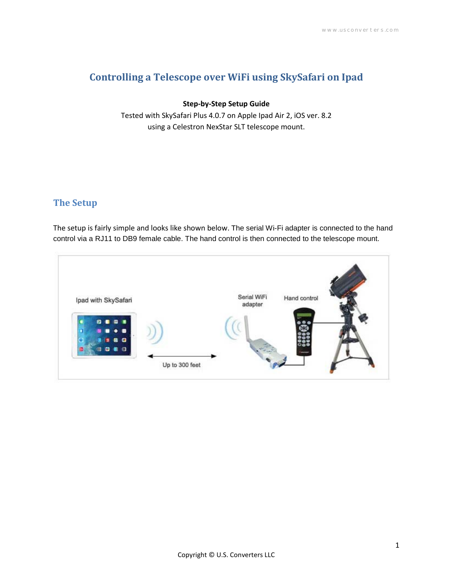# **Controlling a Telescope over WiFi using SkySafari on Ipad**

### **Step-by-Step Setup Guide**

Tested with SkySafari Plus 4.0.7 on Apple Ipad Air 2, iOS ver. 8.2 using a Celestron NexStar SLT telescope mount.

## **The Setup**

The setup is fairly simple and looks like shown below. The serial Wi-Fi adapter is connected to the hand control via a RJ11 to DB9 female cable. The hand control is then connected to the telescope mount.

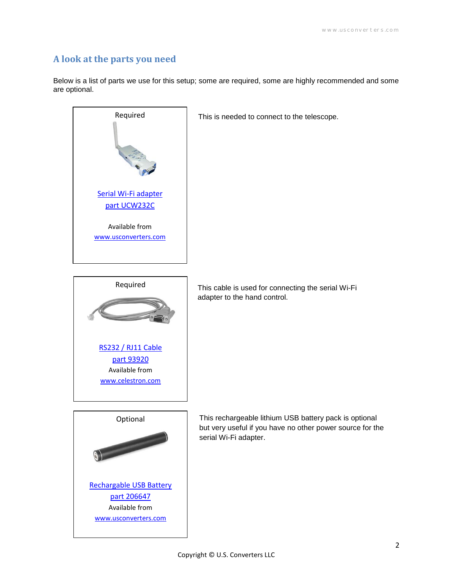## **A look at the parts you need**

Below is a list of parts we use for this setup; some are required, some are highly recommended and some are optional.



This is needed to connect to the telescope.



This cable is used for connecting the serial Wi-Fi adapter to the hand control.



This rechargeable lithium USB battery pack is optional but very useful if you have no other power source for the serial Wi-Fi adapter.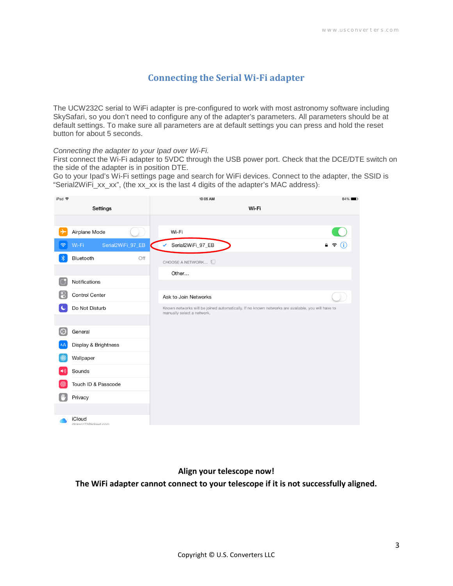### **Connecting the Serial Wi-Fi adapter**

The UCW232C serial to WiFi adapter is pre-configured to work with most astronomy software including SkySafari, so you don't need to configure any of the adapter's parameters. All parameters should be at default settings. To make sure all parameters are at default settings you can press and hold the reset button for about 5 seconds.

#### *Connecting the adapter to your Ipad over Wi-Fi.*

First connect the Wi-Fi adapter to 5VDC through the USB power port. Check that the DCE/DTE switch on the side of the adapter is in position DTE.

Go to your Ipad's Wi-Fi settings page and search for WiFi devices. Connect to the adapter, the SSID is "Serial2WiFi\_xx\_xx", (the xx\_xx is the last 4 digits of the adapter's MAC address):



#### **Align your telescope now!**

**The WiFi adapter cannot connect to your telescope if it is not successfully aligned.**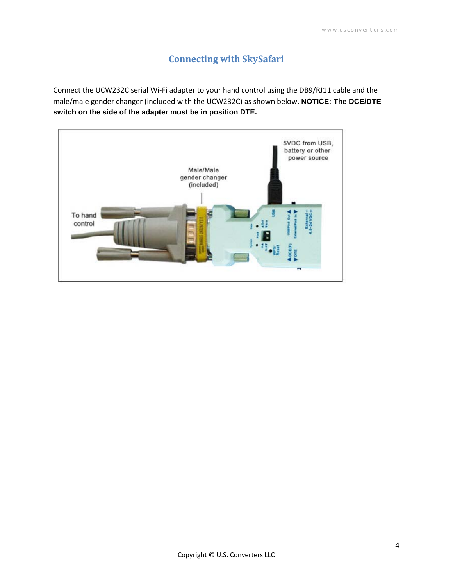# **Connecting with SkySafari**

Connect the UCW232C serial Wi-Fi adapter to your hand control using the DB9/RJ11 cable and the male/male gender changer (included with the UCW232C) as shown below. **NOTICE: The DCE/DTE switch on the side of the adapter must be in position DTE.**

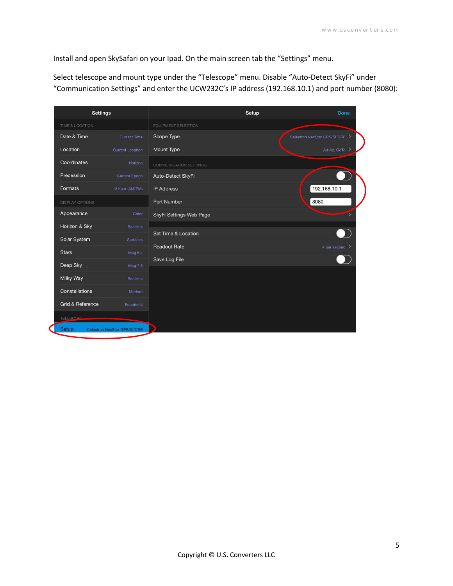Install and open SkySafari on your Ipad. On the main screen tab the "Settings" menu.

Select telescope and mount type under the "Telescope" menu. Disable "Auto-Detect SkyFi" under "Communication Settings" and enter the UCW232C's IP address (192.168.10.1) and port number (8080):

| <b>Settings</b>             |                              |                         | Setup | Done                         |
|-----------------------------|------------------------------|-------------------------|-------|------------------------------|
| TIME & LOCATION             |                              | EQUIPMENT SELECTION     |       |                              |
| Date & Time                 | <b>Current Time</b>          | Scope Type              |       | Celestron NexStar GPS/SLT/SE |
| Location                    | Current Location             | Mount Type              |       | Alt-Az. GoTo                 |
| Coordinates                 | Horizon                      | COMMUNICATION SETTINGS  |       |                              |
| Precession                  | <b>Current Epoch</b>         | Auto-Detect SkyFi       |       |                              |
| Formats                     | 12 hour (AM/PM)              | <b>IP Address</b>       |       | 192.168.10.1                 |
| <b>DISPLAY OPTIONS</b>      |                              | Port Number             | 8080  |                              |
| Appearance                  | Color                        | SkyFi Settings Web Page |       |                              |
| Horizon & Sky               | Realistic                    | Set Time & Location     |       |                              |
| Solar System                | <b>Surfaces</b>              |                         |       |                              |
| <b>Stars</b>                | Mag 5.4                      | <b>Readout Rate</b>     |       | 4 per second                 |
| Deep Sky                    | <b>Mag 7 8</b>               | Save Log File           |       |                              |
| Milky Way                   | Realistic                    |                         |       |                              |
| Constellations              | Modern                       |                         |       |                              |
| <b>Grid &amp; Reference</b> | Equatorial                   |                         |       |                              |
| TELESCOPE                   |                              |                         |       |                              |
| Setup                       | Celestron NexStar GPS/SLT/SE |                         |       |                              |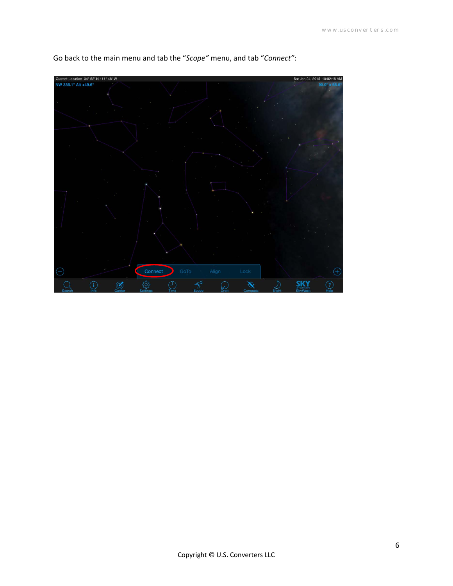

Go back to the main menu and tab the "*Scope"* menu, and tab "*Connect"*: